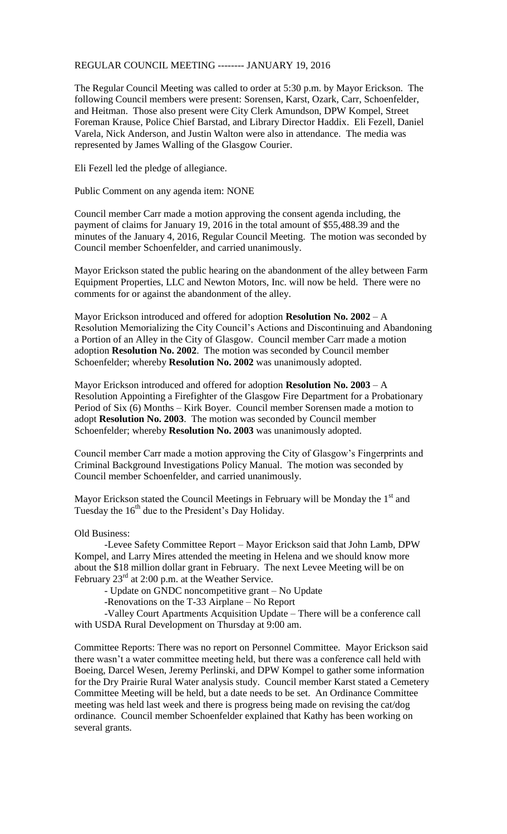## REGULAR COUNCIL MEETING -------- JANUARY 19, 2016

The Regular Council Meeting was called to order at 5:30 p.m. by Mayor Erickson. The following Council members were present: Sorensen, Karst, Ozark, Carr, Schoenfelder, and Heitman. Those also present were City Clerk Amundson, DPW Kompel, Street Foreman Krause, Police Chief Barstad, and Library Director Haddix. Eli Fezell, Daniel Varela, Nick Anderson, and Justin Walton were also in attendance. The media was represented by James Walling of the Glasgow Courier.

Eli Fezell led the pledge of allegiance.

Public Comment on any agenda item: NONE

Council member Carr made a motion approving the consent agenda including, the payment of claims for January 19, 2016 in the total amount of \$55,488.39 and the minutes of the January 4, 2016, Regular Council Meeting. The motion was seconded by Council member Schoenfelder, and carried unanimously.

Mayor Erickson stated the public hearing on the abandonment of the alley between Farm Equipment Properties, LLC and Newton Motors, Inc. will now be held. There were no comments for or against the abandonment of the alley.

Mayor Erickson introduced and offered for adoption **Resolution No. 2002** – A Resolution Memorializing the City Council's Actions and Discontinuing and Abandoning a Portion of an Alley in the City of Glasgow. Council member Carr made a motion adoption **Resolution No. 2002**. The motion was seconded by Council member Schoenfelder; whereby **Resolution No. 2002** was unanimously adopted.

Mayor Erickson introduced and offered for adoption **Resolution No. 2003** – A Resolution Appointing a Firefighter of the Glasgow Fire Department for a Probationary Period of Six (6) Months – Kirk Boyer. Council member Sorensen made a motion to adopt **Resolution No. 2003**. The motion was seconded by Council member Schoenfelder; whereby **Resolution No. 2003** was unanimously adopted.

Council member Carr made a motion approving the City of Glasgow's Fingerprints and Criminal Background Investigations Policy Manual. The motion was seconded by Council member Schoenfelder, and carried unanimously.

Mayor Erickson stated the Council Meetings in February will be Monday the  $1<sup>st</sup>$  and Tuesday the  $16<sup>th</sup>$  due to the President's Day Holiday.

Old Business:

-Levee Safety Committee Report – Mayor Erickson said that John Lamb, DPW Kompel, and Larry Mires attended the meeting in Helena and we should know more about the \$18 million dollar grant in February. The next Levee Meeting will be on February  $23<sup>rd</sup>$  at 2:00 p.m. at the Weather Service.

- Update on GNDC noncompetitive grant – No Update

-Renovations on the T-33 Airplane – No Report

-Valley Court Apartments Acquisition Update – There will be a conference call with USDA Rural Development on Thursday at 9:00 am.

Committee Reports: There was no report on Personnel Committee. Mayor Erickson said there wasn't a water committee meeting held, but there was a conference call held with Boeing, Darcel Wesen, Jeremy Perlinski, and DPW Kompel to gather some information for the Dry Prairie Rural Water analysis study. Council member Karst stated a Cemetery Committee Meeting will be held, but a date needs to be set. An Ordinance Committee meeting was held last week and there is progress being made on revising the cat/dog ordinance. Council member Schoenfelder explained that Kathy has been working on several grants.